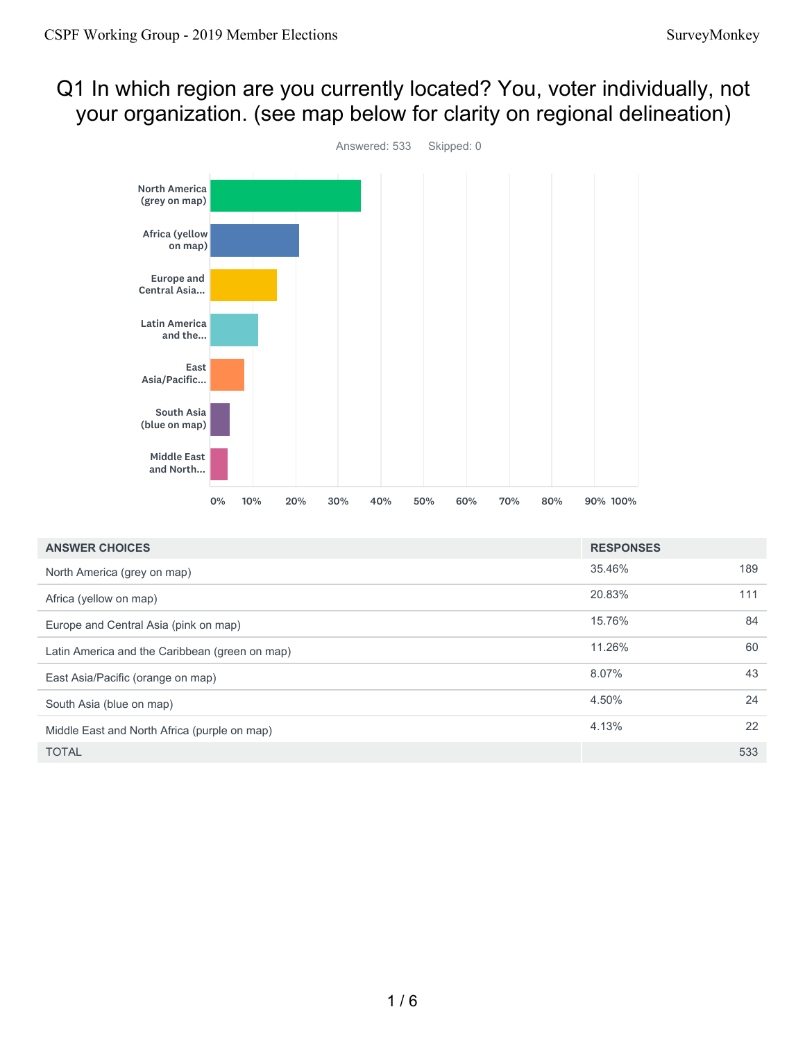## Q1 In which region are you currently located? You, voter individually, not your organization. (see map below for clarity on regional delineation)



| <b>ANSWER CHOICES</b>                          | <b>RESPONSES</b> |     |
|------------------------------------------------|------------------|-----|
| North America (grey on map)                    | 35.46%           | 189 |
| Africa (yellow on map)                         | 20.83%           | 111 |
| Europe and Central Asia (pink on map)          | 15.76%           | 84  |
| Latin America and the Caribbean (green on map) | 11.26%           | 60  |
| East Asia/Pacific (orange on map)              | 8.07%            | 43  |
| South Asia (blue on map)                       | 4.50%            | 24  |
| Middle East and North Africa (purple on map)   | 4.13%            | 22  |
| <b>TOTAL</b>                                   |                  | 533 |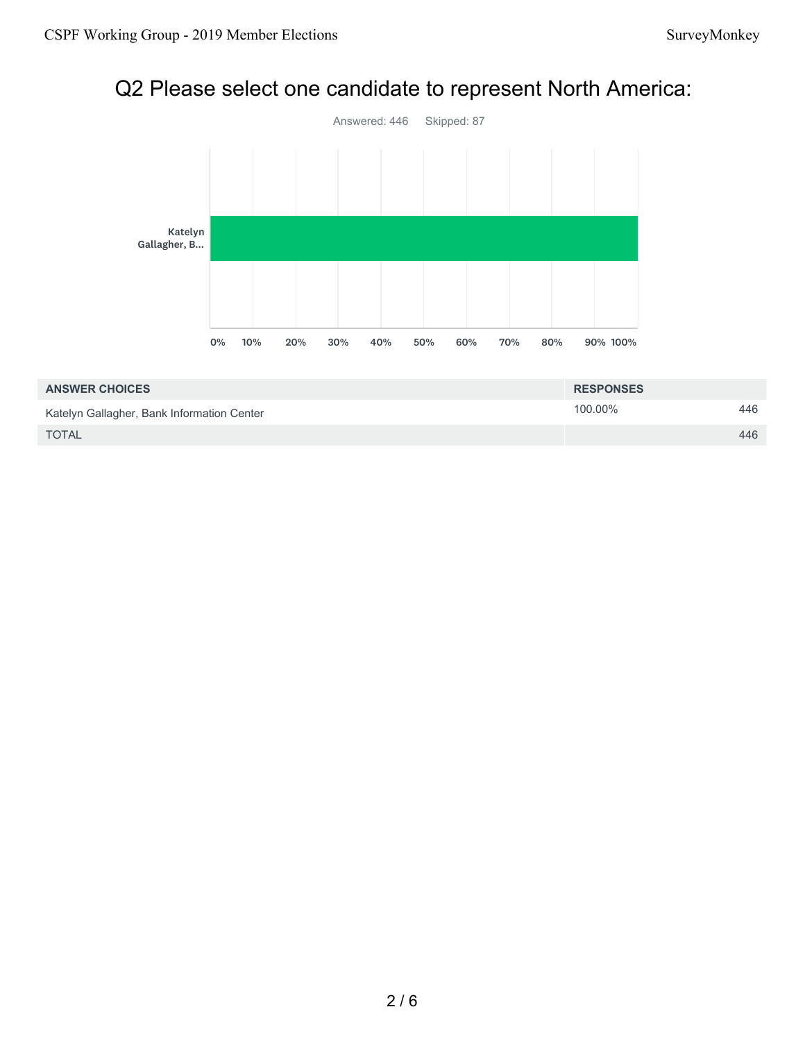## Q2 Please select one candidate to represent North America:



| <b>ANSWER CHOICES</b>                      | <b>RESPONSES</b> |     |
|--------------------------------------------|------------------|-----|
| Katelyn Gallagher, Bank Information Center | 100.00%          | 446 |
| <b>TOTAL</b>                               |                  | 446 |

2 / 6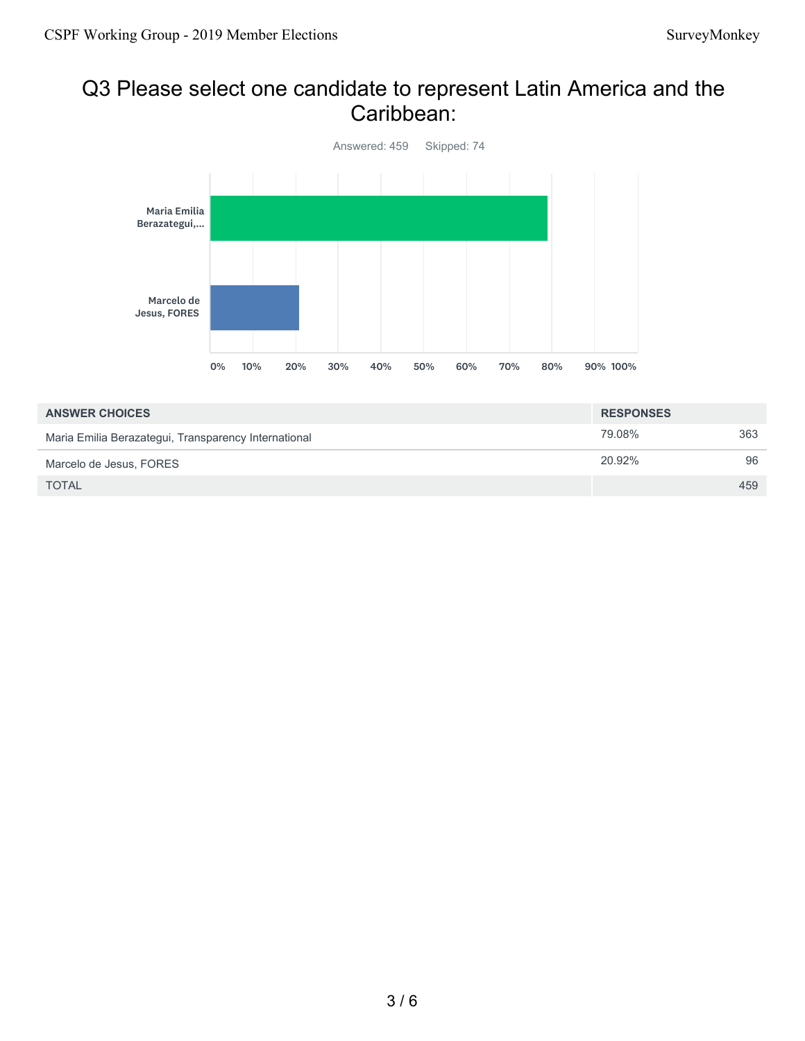## Q3 Please select one candidate to represent Latin America and the Caribbean:



| <b>ANSWER CHOICES</b>                                | <b>RESPONSES</b> |     |
|------------------------------------------------------|------------------|-----|
| Maria Emilia Berazategui, Transparency International | 79.08%           | 363 |
| Marcelo de Jesus, FORES                              | 20.92%           | 96  |
| <b>TOTAL</b>                                         |                  | 459 |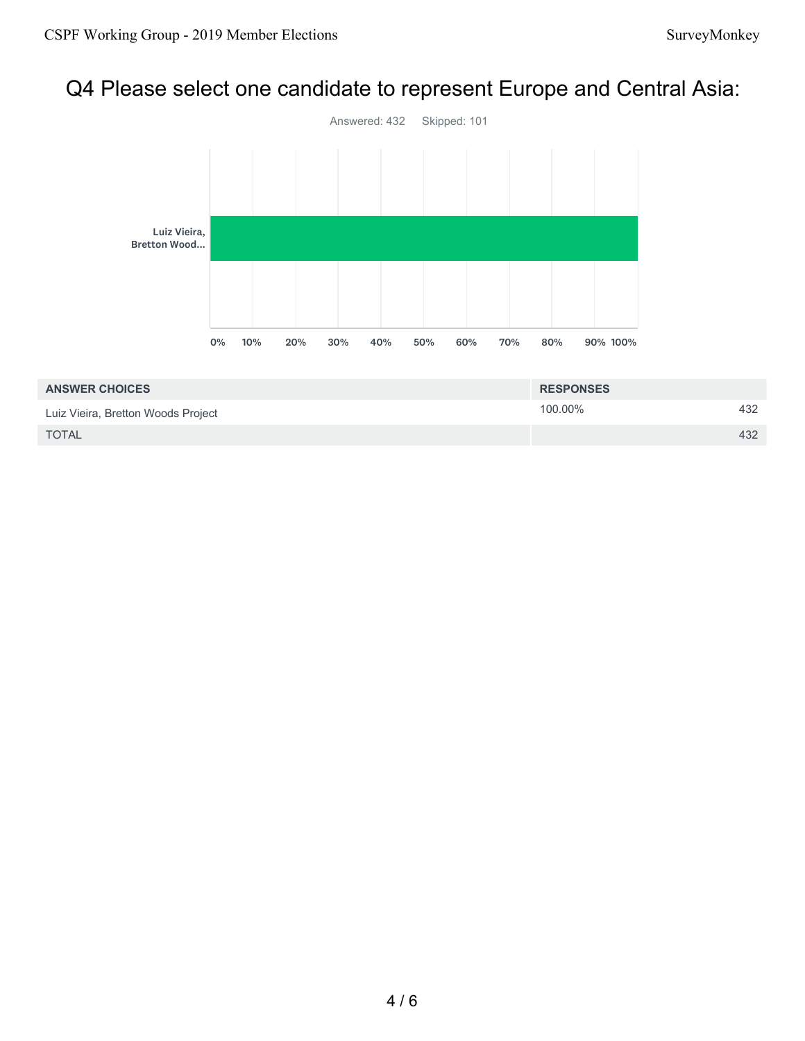# Q4 Please select one candidate to represent Europe and Central Asia:



| <b>ANSWER CHOICES</b>              | <b>RESPONSES</b> |     |
|------------------------------------|------------------|-----|
| Luiz Vieira, Bretton Woods Project | 100.00%          | 432 |
| <b>TOTAL</b>                       |                  | 432 |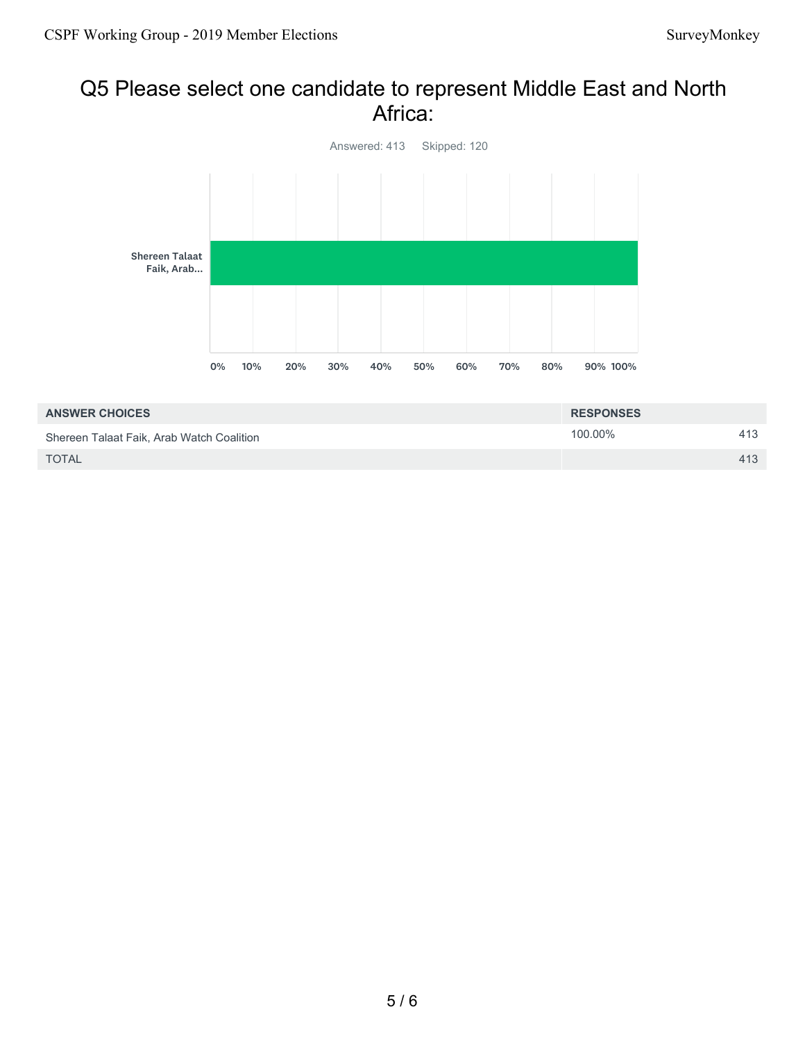#### Q5 Please select one candidate to represent Middle East and North Africa:



| <b>ANSWER CHOICES</b>                     | <b>RESPONSES</b> |     |
|-------------------------------------------|------------------|-----|
| Shereen Talaat Faik, Arab Watch Coalition | 100.00%          | 413 |
| <b>TOTAL</b>                              |                  | 413 |
|                                           |                  |     |